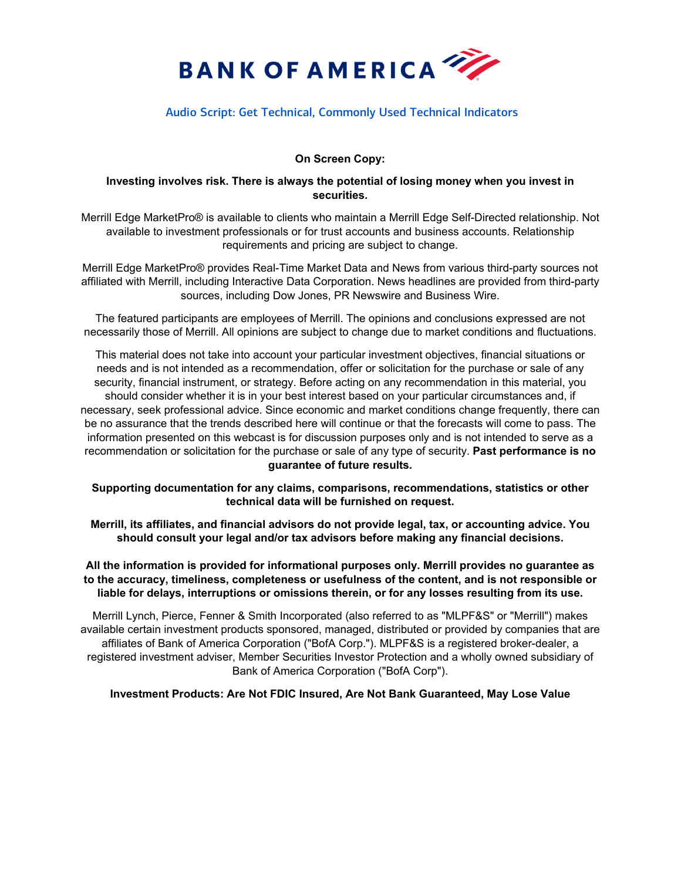

# Audio Script: Get Technical, Commonly Used Technical Indicators

## **On Screen Copy:**

### **Investing involves risk. There is always the potential of losing money when you invest in securities.**

Merrill Edge MarketPro® is available to clients who maintain a Merrill Edge Self-Directed relationship. Not available to investment professionals or for trust accounts and business accounts. Relationship requirements and pricing are subject to change.

Merrill Edge MarketPro® provides Real-Time Market Data and News from various third-party sources not affiliated with Merrill, including Interactive Data Corporation. News headlines are provided from third-party sources, including Dow Jones, PR Newswire and Business Wire.

The featured participants are employees of Merrill. The opinions and conclusions expressed are not necessarily those of Merrill. All opinions are subject to change due to market conditions and fluctuations.

This material does not take into account your particular investment objectives, financial situations or needs and is not intended as a recommendation, offer or solicitation for the purchase or sale of any security, financial instrument, or strategy. Before acting on any recommendation in this material, you should consider whether it is in your best interest based on your particular circumstances and, if necessary, seek professional advice. Since economic and market conditions change frequently, there can be no assurance that the trends described here will continue or that the forecasts will come to pass. The information presented on this webcast is for discussion purposes only and is not intended to serve as a recommendation or solicitation for the purchase or sale of any type of security. **Past performance is no guarantee of future results.**

**Supporting documentation for any claims, comparisons, recommendations, statistics or other technical data will be furnished on request.**

**Merrill, its affiliates, and financial advisors do not provide legal, tax, or accounting advice. You should consult your legal and/or tax advisors before making any financial decisions.** 

**All the information is provided for informational purposes only. Merrill provides no guarantee as to the accuracy, timeliness, completeness or usefulness of the content, and is not responsible or liable for delays, interruptions or omissions therein, or for any losses resulting from its use.**

Merrill Lynch, Pierce, Fenner & Smith Incorporated (also referred to as "MLPF&S" or "Merrill") makes available certain investment products sponsored, managed, distributed or provided by companies that are affiliates of Bank of America Corporation ("BofA Corp."). MLPF&S is a registered broker-dealer, a registered investment adviser, Member Securities Investor Protection and a wholly owned subsidiary of Bank of America Corporation ("BofA Corp").

### **Investment Products: Are Not FDIC Insured, Are Not Bank Guaranteed, May Lose Value**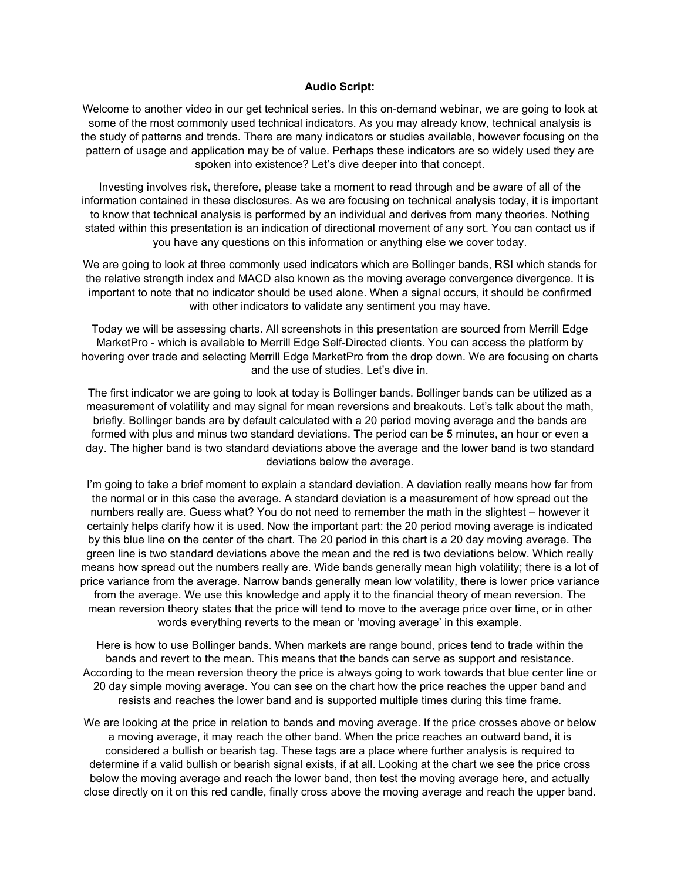#### **Audio Script:**

Welcome to another video in our get technical series. In this on-demand webinar, we are going to look at some of the most commonly used technical indicators. As you may already know, technical analysis is the study of patterns and trends. There are many indicators or studies available, however focusing on the pattern of usage and application may be of value. Perhaps these indicators are so widely used they are spoken into existence? Let's dive deeper into that concept.

Investing involves risk, therefore, please take a moment to read through and be aware of all of the information contained in these disclosures. As we are focusing on technical analysis today, it is important to know that technical analysis is performed by an individual and derives from many theories. Nothing stated within this presentation is an indication of directional movement of any sort. You can contact us if you have any questions on this information or anything else we cover today.

We are going to look at three commonly used indicators which are Bollinger bands, RSI which stands for the relative strength index and MACD also known as the moving average convergence divergence. It is important to note that no indicator should be used alone. When a signal occurs, it should be confirmed with other indicators to validate any sentiment you may have.

Today we will be assessing charts. All screenshots in this presentation are sourced from Merrill Edge MarketPro - which is available to Merrill Edge Self-Directed clients. You can access the platform by hovering over trade and selecting Merrill Edge MarketPro from the drop down. We are focusing on charts and the use of studies. Let's dive in.

The first indicator we are going to look at today is Bollinger bands. Bollinger bands can be utilized as a measurement of volatility and may signal for mean reversions and breakouts. Let's talk about the math, briefly. Bollinger bands are by default calculated with a 20 period moving average and the bands are formed with plus and minus two standard deviations. The period can be 5 minutes, an hour or even a day. The higher band is two standard deviations above the average and the lower band is two standard deviations below the average.

I'm going to take a brief moment to explain a standard deviation. A deviation really means how far from the normal or in this case the average. A standard deviation is a measurement of how spread out the numbers really are. Guess what? You do not need to remember the math in the slightest – however it certainly helps clarify how it is used. Now the important part: the 20 period moving average is indicated by this blue line on the center of the chart. The 20 period in this chart is a 20 day moving average. The green line is two standard deviations above the mean and the red is two deviations below. Which really means how spread out the numbers really are. Wide bands generally mean high volatility; there is a lot of price variance from the average. Narrow bands generally mean low volatility, there is lower price variance from the average. We use this knowledge and apply it to the financial theory of mean reversion. The mean reversion theory states that the price will tend to move to the average price over time, or in other words everything reverts to the mean or 'moving average' in this example.

Here is how to use Bollinger bands. When markets are range bound, prices tend to trade within the bands and revert to the mean. This means that the bands can serve as support and resistance. According to the mean reversion theory the price is always going to work towards that blue center line or 20 day simple moving average. You can see on the chart how the price reaches the upper band and resists and reaches the lower band and is supported multiple times during this time frame.

We are looking at the price in relation to bands and moving average. If the price crosses above or below a moving average, it may reach the other band. When the price reaches an outward band, it is considered a bullish or bearish tag. These tags are a place where further analysis is required to determine if a valid bullish or bearish signal exists, if at all. Looking at the chart we see the price cross below the moving average and reach the lower band, then test the moving average here, and actually close directly on it on this red candle, finally cross above the moving average and reach the upper band.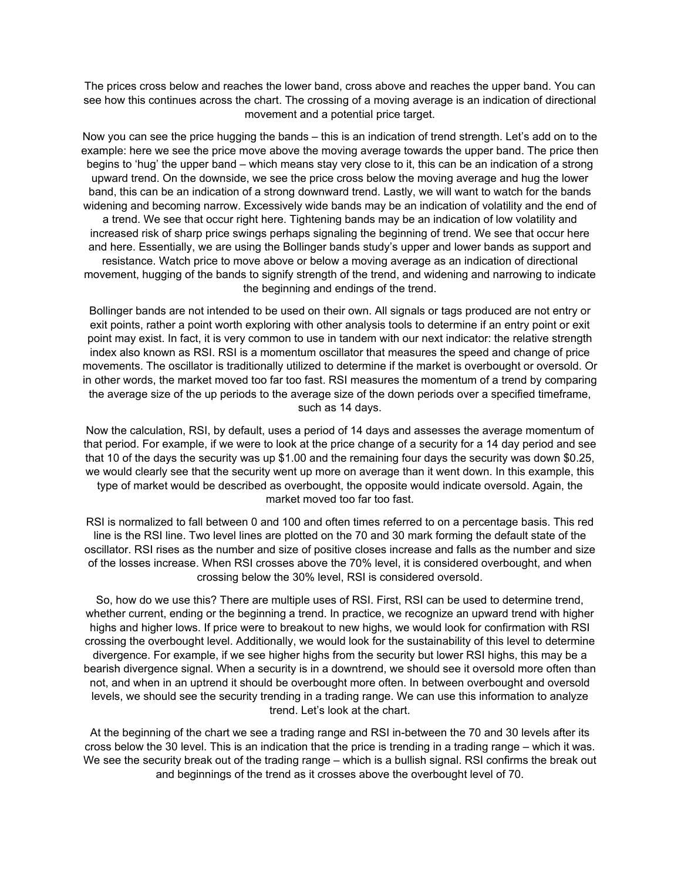The prices cross below and reaches the lower band, cross above and reaches the upper band. You can see how this continues across the chart. The crossing of a moving average is an indication of directional movement and a potential price target.

Now you can see the price hugging the bands – this is an indication of trend strength. Let's add on to the example: here we see the price move above the moving average towards the upper band. The price then begins to 'hug' the upper band – which means stay very close to it, this can be an indication of a strong upward trend. On the downside, we see the price cross below the moving average and hug the lower band, this can be an indication of a strong downward trend. Lastly, we will want to watch for the bands widening and becoming narrow. Excessively wide bands may be an indication of volatility and the end of a trend. We see that occur right here. Tightening bands may be an indication of low volatility and increased risk of sharp price swings perhaps signaling the beginning of trend. We see that occur here and here. Essentially, we are using the Bollinger bands study's upper and lower bands as support and resistance. Watch price to move above or below a moving average as an indication of directional movement, hugging of the bands to signify strength of the trend, and widening and narrowing to indicate the beginning and endings of the trend.

Bollinger bands are not intended to be used on their own. All signals or tags produced are not entry or exit points, rather a point worth exploring with other analysis tools to determine if an entry point or exit point may exist. In fact, it is very common to use in tandem with our next indicator: the relative strength index also known as RSI. RSI is a momentum oscillator that measures the speed and change of price movements. The oscillator is traditionally utilized to determine if the market is overbought or oversold. Or in other words, the market moved too far too fast. RSI measures the momentum of a trend by comparing the average size of the up periods to the average size of the down periods over a specified timeframe, such as 14 days.

Now the calculation, RSI, by default, uses a period of 14 days and assesses the average momentum of that period. For example, if we were to look at the price change of a security for a 14 day period and see that 10 of the days the security was up \$1.00 and the remaining four days the security was down \$0.25, we would clearly see that the security went up more on average than it went down. In this example, this type of market would be described as overbought, the opposite would indicate oversold. Again, the market moved too far too fast.

RSI is normalized to fall between 0 and 100 and often times referred to on a percentage basis. This red line is the RSI line. Two level lines are plotted on the 70 and 30 mark forming the default state of the oscillator. RSI rises as the number and size of positive closes increase and falls as the number and size of the losses increase. When RSI crosses above the 70% level, it is considered overbought, and when crossing below the 30% level, RSI is considered oversold.

So, how do we use this? There are multiple uses of RSI. First, RSI can be used to determine trend, whether current, ending or the beginning a trend. In practice, we recognize an upward trend with higher highs and higher lows. If price were to breakout to new highs, we would look for confirmation with RSI crossing the overbought level. Additionally, we would look for the sustainability of this level to determine divergence. For example, if we see higher highs from the security but lower RSI highs, this may be a bearish divergence signal. When a security is in a downtrend, we should see it oversold more often than not, and when in an uptrend it should be overbought more often. In between overbought and oversold levels, we should see the security trending in a trading range. We can use this information to analyze trend. Let's look at the chart.

At the beginning of the chart we see a trading range and RSI in-between the 70 and 30 levels after its cross below the 30 level. This is an indication that the price is trending in a trading range – which it was. We see the security break out of the trading range – which is a bullish signal. RSI confirms the break out and beginnings of the trend as it crosses above the overbought level of 70.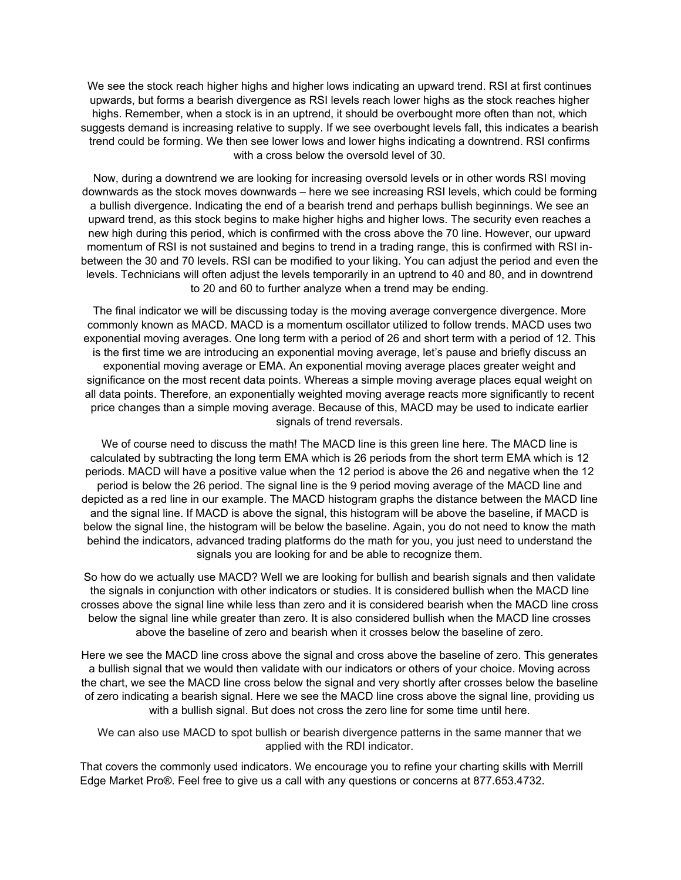We see the stock reach higher highs and higher lows indicating an upward trend. RSI at first continues upwards, but forms a bearish divergence as RSI levels reach lower highs as the stock reaches higher highs. Remember, when a stock is in an uptrend, it should be overbought more often than not, which suggests demand is increasing relative to supply. If we see overbought levels fall, this indicates a bearish trend could be forming. We then see lower lows and lower highs indicating a downtrend. RSI confirms with a cross below the oversold level of 30.

Now, during a downtrend we are looking for increasing oversold levels or in other words RSI moving downwards as the stock moves downwards – here we see increasing RSI levels, which could be forming a bullish divergence. Indicating the end of a bearish trend and perhaps bullish beginnings. We see an upward trend, as this stock begins to make higher highs and higher lows. The security even reaches a new high during this period, which is confirmed with the cross above the 70 line. However, our upward momentum of RSI is not sustained and begins to trend in a trading range, this is confirmed with RSI inbetween the 30 and 70 levels. RSI can be modified to your liking. You can adjust the period and even the levels. Technicians will often adjust the levels temporarily in an uptrend to 40 and 80, and in downtrend to 20 and 60 to further analyze when a trend may be ending.

The final indicator we will be discussing today is the moving average convergence divergence. More commonly known as MACD. MACD is a momentum oscillator utilized to follow trends. MACD uses two exponential moving averages. One long term with a period of 26 and short term with a period of 12. This is the first time we are introducing an exponential moving average, let's pause and briefly discuss an exponential moving average or EMA. An exponential moving average places greater weight and significance on the most recent data points. Whereas a simple moving average places equal weight on all data points. Therefore, an exponentially weighted moving average reacts more significantly to recent price changes than a simple moving average. Because of this, MACD may be used to indicate earlier signals of trend reversals.

We of course need to discuss the math! The MACD line is this green line here. The MACD line is calculated by subtracting the long term EMA which is 26 periods from the short term EMA which is 12 periods. MACD will have a positive value when the 12 period is above the 26 and negative when the 12 period is below the 26 period. The signal line is the 9 period moving average of the MACD line and depicted as a red line in our example. The MACD histogram graphs the distance between the MACD line and the signal line. If MACD is above the signal, this histogram will be above the baseline, if MACD is below the signal line, the histogram will be below the baseline. Again, you do not need to know the math behind the indicators, advanced trading platforms do the math for you, you just need to understand the signals you are looking for and be able to recognize them.

So how do we actually use MACD? Well we are looking for bullish and bearish signals and then validate the signals in conjunction with other indicators or studies. It is considered bullish when the MACD line crosses above the signal line while less than zero and it is considered bearish when the MACD line cross below the signal line while greater than zero. It is also considered bullish when the MACD line crosses above the baseline of zero and bearish when it crosses below the baseline of zero.

Here we see the MACD line cross above the signal and cross above the baseline of zero. This generates a bullish signal that we would then validate with our indicators or others of your choice. Moving across the chart, we see the MACD line cross below the signal and very shortly after crosses below the baseline of zero indicating a bearish signal. Here we see the MACD line cross above the signal line, providing us with a bullish signal. But does not cross the zero line for some time until here.

We can also use MACD to spot bullish or bearish divergence patterns in the same manner that we applied with the RDI indicator.

That covers the commonly used indicators. We encourage you to refine your charting skills with Merrill Edge Market Pro®. Feel free to give us a call with any questions or concerns at 877.653.4732.